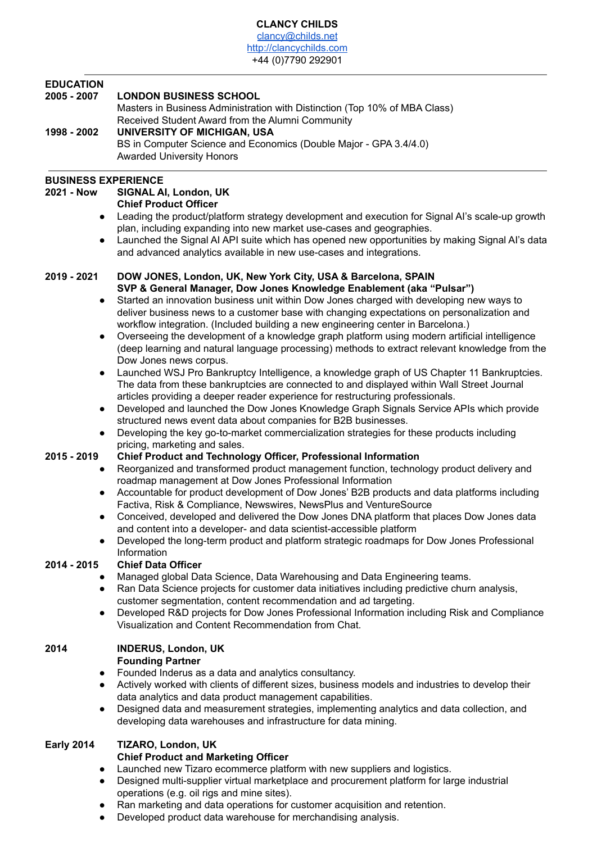#### **CLANCY CHILDS** [clancy@childs.net](mailto:clancy@childs.net) <http://clancychilds.com> +44 (0)7790 292901

### **EDUCATION**

## **2005 - 2007 LONDON BUSINESS SCHOOL**

Masters in Business Administration with Distinction (Top 10% of MBA Class) Received Student Award from the Alumni Community **1998 - 2002 UNIVERSITY OF MICHIGAN, USA** BS in Computer Science and Economics (Double Major - GPA 3.4/4.0) Awarded University Honors

## **BUSINESS EXPERIENCE**

# **2021 - Now SIGNAL AI, London, UK**

## **Chief Product Officer**

- Leading the product/platform strategy development and execution for Signal AI's scale-up growth plan, including expanding into new market use-cases and geographies.
- Launched the Signal AI API suite which has opened new opportunities by making Signal AI's data and advanced analytics available in new use-cases and integrations.

#### **2019 - 2021 DOW JONES, London, UK, New York City, USA & Barcelona, SPAIN SVP & General Manager, Dow Jones Knowledge Enablement (aka "Pulsar")**

- Started an innovation business unit within Dow Jones charged with developing new ways to deliver business news to a customer base with changing expectations on personalization and workflow integration. (Included building a new engineering center in Barcelona.)
- Overseeing the development of a knowledge graph platform using modern artificial intelligence (deep learning and natural language processing) methods to extract relevant knowledge from the Dow Jones news corpus.
- Launched WSJ Pro Bankruptcy Intelligence, a knowledge graph of US Chapter 11 Bankruptcies. The data from these bankruptcies are connected to and displayed within Wall Street Journal articles providing a deeper reader experience for restructuring professionals.
- Developed and launched the Dow Jones Knowledge Graph Signals Service APIs which provide structured news event data about companies for B2B businesses.
- Developing the key go-to-market commercialization strategies for these products including pricing, marketing and sales.

# **2015 - 2019 Chief Product and Technology Officer, Professional Information**

- Reorganized and transformed product management function, technology product delivery and roadmap management at Dow Jones Professional Information
- Accountable for product development of Dow Jones' B2B products and data platforms including Factiva, Risk & Compliance, Newswires, NewsPlus and VentureSource
- Conceived, developed and delivered the Dow Jones DNA platform that places Dow Jones data and content into a developer- and data scientist-accessible platform
- Developed the long-term product and platform strategic roadmaps for Dow Jones Professional Information

# **2014 - 2015 Chief Data Officer**

- Managed global Data Science, Data Warehousing and Data Engineering teams.
- Ran Data Science projects for customer data initiatives including predictive churn analysis, customer segmentation, content recommendation and ad targeting.
- Developed R&D projects for Dow Jones Professional Information including Risk and Compliance Visualization and Content Recommendation from Chat.

#### **2014 INDERUS, London, UK Founding Partner**

- Founded Inderus as a data and analytics consultancy.
- Actively worked with clients of different sizes, business models and industries to develop their data analytics and data product management capabilities.
- Designed data and measurement strategies, implementing analytics and data collection, and developing data warehouses and infrastructure for data mining.

# **Early 2014 TIZARO, London, UK**

# **Chief Product and Marketing Officer**

- Launched new Tizaro ecommerce platform with new suppliers and logistics.
- Designed multi-supplier virtual marketplace and procurement platform for large industrial operations (e.g. oil rigs and mine sites).
	- Ran marketing and data operations for customer acquisition and retention.
- Developed product data warehouse for merchandising analysis.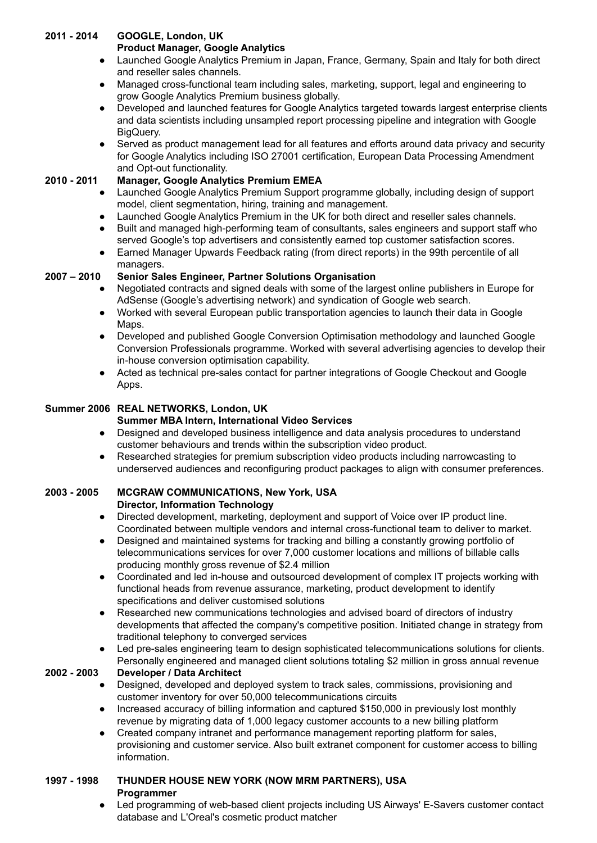## **2011 - 2014 GOOGLE, London, UK**

### **Product Manager, Google Analytics**

- Launched Google Analytics Premium in Japan, France, Germany, Spain and Italy for both direct and reseller sales channels.
- Managed cross-functional team including sales, marketing, support, legal and engineering to grow Google Analytics Premium business globally.
- Developed and launched features for Google Analytics targeted towards largest enterprise clients and data scientists including unsampled report processing pipeline and integration with Google BigQuery.
- Served as product management lead for all features and efforts around data privacy and security for Google Analytics including ISO 27001 certification, European Data Processing Amendment and Opt-out functionality.

### **2010 - 2011 Manager, Google Analytics Premium EMEA**

- Launched Google Analytics Premium Support programme globally, including design of support model, client segmentation, hiring, training and management.
- Launched Google Analytics Premium in the UK for both direct and reseller sales channels.
- Built and managed high-performing team of consultants, sales engineers and support staff who served Google's top advertisers and consistently earned top customer satisfaction scores.
- Earned Manager Upwards Feedback rating (from direct reports) in the 99th percentile of all managers.

### **2007 – 2010 Senior Sales Engineer, Partner Solutions Organisation**

- Negotiated contracts and signed deals with some of the largest online publishers in Europe for AdSense (Google's advertising network) and syndication of Google web search.
- Worked with several European public transportation agencies to launch their data in Google Maps.
- Developed and published Google Conversion Optimisation methodology and launched Google Conversion Professionals programme. Worked with several advertising agencies to develop their in-house conversion optimisation capability.
- Acted as technical pre-sales contact for partner integrations of Google Checkout and Google Apps.

### **Summer 2006 REAL NETWORKS, London, UK**

### **Summer MBA Intern, International Video Services**

- Designed and developed business intelligence and data analysis procedures to understand customer behaviours and trends within the subscription video product.
- Researched strategies for premium subscription video products including narrowcasting to underserved audiences and reconfiguring product packages to align with consumer preferences.

#### **2003 - 2005 MCGRAW COMMUNICATIONS, New York, USA Director, Information Technology**

- Directed development, marketing, deployment and support of Voice over IP product line. Coordinated between multiple vendors and internal cross-functional team to deliver to market.
- Designed and maintained systems for tracking and billing a constantly growing portfolio of telecommunications services for over 7,000 customer locations and millions of billable calls producing monthly gross revenue of \$2.4 million
- Coordinated and led in-house and outsourced development of complex IT projects working with functional heads from revenue assurance, marketing, product development to identify specifications and deliver customised solutions
- Researched new communications technologies and advised board of directors of industry developments that affected the company's competitive position. Initiated change in strategy from traditional telephony to converged services
- Led pre-sales engineering team to design sophisticated telecommunications solutions for clients. Personally engineered and managed client solutions totaling \$2 million in gross annual revenue

### **2002 - 2003 Developer / Data Architect**

- Designed, developed and deployed system to track sales, commissions, provisioning and customer inventory for over 50,000 telecommunications circuits
- Increased accuracy of billing information and captured \$150,000 in previously lost monthly revenue by migrating data of 1,000 legacy customer accounts to a new billing platform
- Created company intranet and performance management reporting platform for sales, provisioning and customer service. Also built extranet component for customer access to billing information.

### **1997 - 1998 THUNDER HOUSE NEW YORK (NOW MRM PARTNERS), USA Programmer**

● Led programming of web-based client projects including US Airways' E-Savers customer contact database and L'Oreal's cosmetic product matcher